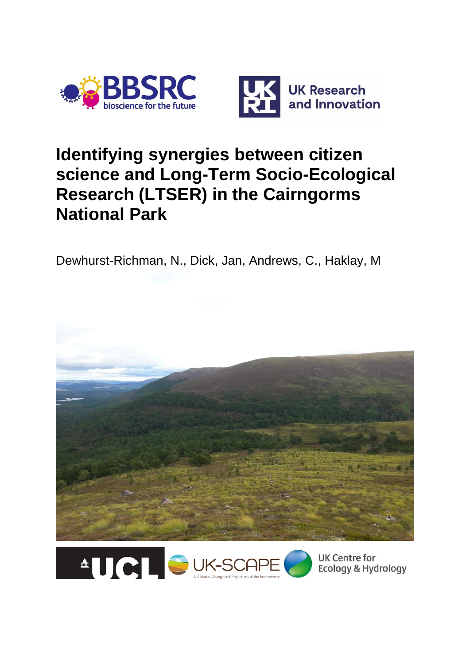



## **Identifying synergies between citizen science and Long-Term Socio-Ecological Research (LTSER) in the Cairngorms National Park**

Dewhurst-Richman, N., Dick, Jan, Andrews, C., Haklay, M





**UK Centre for Ecology & Hydrology**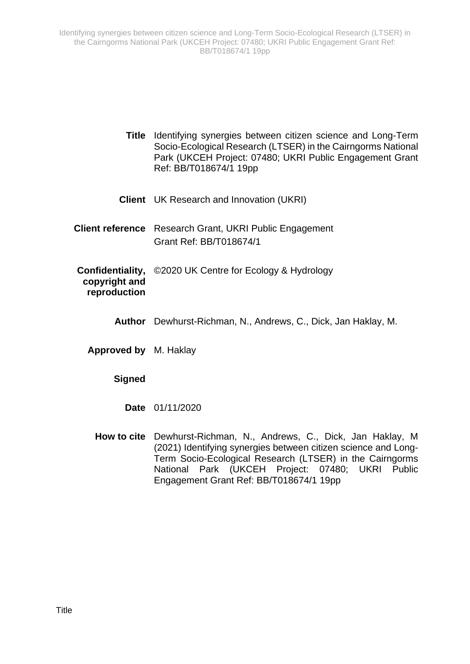- **Title** Identifying synergies between citizen science and Long-Term Socio-Ecological Research (LTSER) in the Cairngorms National Park (UKCEH Project: 07480; UKRI Public Engagement Grant Ref: BB/T018674/1 19pp
- **Client** UK Research and Innovation (UKRI)
- **Client reference** Research Grant, UKRI Public Engagement Grant Ref: BB/T018674/1
- **Confidentiality,**  ©2020 UK Centre for Ecology & Hydrology **copyright and reproduction**
	- **Author** Dewhurst-Richman, N., Andrews, C., Dick, Jan Haklay, M.
	- **Approved by** M. Haklay

#### **Signed**

- **Date** 01/11/2020
- **How to cite** Dewhurst-Richman, N., Andrews, C., Dick, Jan Haklay, M (2021) Identifying synergies between citizen science and Long-Term Socio-Ecological Research (LTSER) in the Cairngorms National Park (UKCEH Project: 07480; UKRI Public Engagement Grant Ref: BB/T018674/1 19pp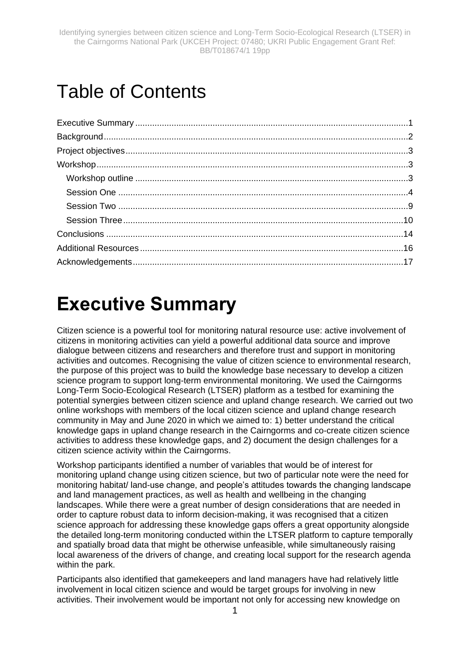# Table of Contents

# <span id="page-2-0"></span>**Executive Summary**

Citizen science is a powerful tool for monitoring natural resource use: active involvement of citizens in monitoring activities can yield a powerful additional data source and improve dialogue between citizens and researchers and therefore trust and support in monitoring activities and outcomes. Recognising the value of citizen science to environmental research, the purpose of this project was to build the knowledge base necessary to develop a citizen science program to support long-term environmental monitoring. We used the Cairngorms Long-Term Socio-Ecological Research (LTSER) platform as a testbed for examining the potential synergies between citizen science and upland change research. We carried out two online workshops with members of the local citizen science and upland change research community in May and June 2020 in which we aimed to: 1) better understand the critical knowledge gaps in upland change research in the Cairngorms and co-create citizen science activities to address these knowledge gaps, and 2) document the design challenges for a citizen science activity within the Cairngorms.

Workshop participants identified a number of variables that would be of interest for monitoring upland change using citizen science, but two of particular note were the need for monitoring habitat/ land-use change, and people's attitudes towards the changing landscape and land management practices, as well as health and wellbeing in the changing landscapes. While there were a great number of design considerations that are needed in order to capture robust data to inform decision-making, it was recognised that a citizen science approach for addressing these knowledge gaps offers a great opportunity alongside the detailed long-term monitoring conducted within the LTSER platform to capture temporally and spatially broad data that might be otherwise unfeasible, while simultaneously raising local awareness of the drivers of change, and creating local support for the research agenda within the park.

Participants also identified that gamekeepers and land managers have had relatively little involvement in local citizen science and would be target groups for involving in new activities. Their involvement would be important not only for accessing new knowledge on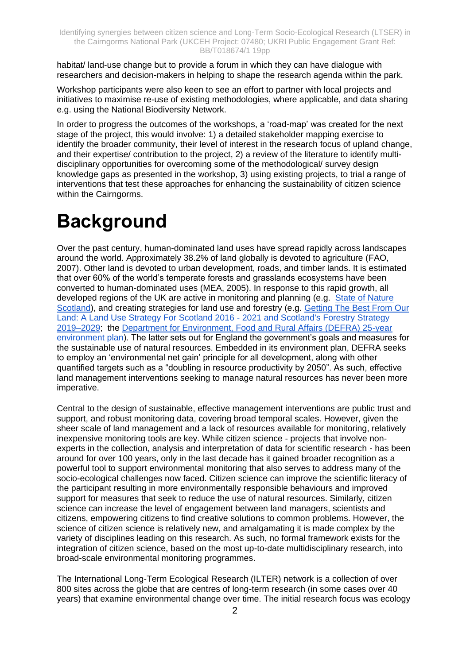habitat/ land-use change but to provide a forum in which they can have dialogue with researchers and decision-makers in helping to shape the research agenda within the park.

Workshop participants were also keen to see an effort to partner with local projects and initiatives to maximise re-use of existing methodologies, where applicable, and data sharing e.g. using the National Biodiversity Network.

In order to progress the outcomes of the workshops, a 'road-map' was created for the next stage of the project, this would involve: 1) a detailed stakeholder mapping exercise to identify the broader community, their level of interest in the research focus of upland change, and their expertise/ contribution to the project, 2) a review of the literature to identify multidisciplinary opportunities for overcoming some of the methodological/ survey design knowledge gaps as presented in the workshop, 3) using existing projects, to trial a range of interventions that test these approaches for enhancing the sustainability of citizen science within the Cairngorms.

# <span id="page-3-0"></span>**Background**

Over the past century, human-dominated land uses have spread rapidly across landscapes around the world. Approximately 38.2% of land globally is devoted to agriculture [\(FAO,](https://www.sciencedirect.com/science/article/pii/S0006320708001213#bib22)  [2007\)](https://www.sciencedirect.com/science/article/pii/S0006320708001213#bib22). Other land is devoted to urban development, roads, and timber lands. It is estimated that over 60% of the world's temperate forests and grasslands ecosystems have been converted to human-dominated uses [\(MEA, 2005\)](https://www.sciencedirect.com/science/article/pii/S0006320708001213#bib45). In response to this rapid growth, all developed regions of the UK are active in monitoring and planning (e.g. State of Nature [Scotland\)](https://www.nature.scot/sites/default/files/2019-10/State-of-nature-Report-2019-Scotland-full-report.pdf), and creating strategies for land use and forestry (e.g. [Getting The Best From Our](https://www.gov.scot/publications/getting-best-land-land-use-strategy-scotland-2016-2021/)  [Land: A Land Use Strategy For Scotland 2016 -](https://www.gov.scot/publications/getting-best-land-land-use-strategy-scotland-2016-2021/) 2021 and [Scotland's Forestry Strategy](https://www.gov.scot/publications/scotlands-forestry-strategy-20192029/pages/5/)  [2019–2029;](https://www.gov.scot/publications/scotlands-forestry-strategy-20192029/pages/5/) the [Department for Environment, Food and Rural Affairs \(DEFRA\) 25-year](https://assets.publishing.service.gov.uk/government/uploads/system/uploads/attachment_data/file/693158/25-year-environment-plan.pdf)  [environment plan\)](https://assets.publishing.service.gov.uk/government/uploads/system/uploads/attachment_data/file/693158/25-year-environment-plan.pdf). The latter sets out for England the government's goals and measures for the sustainable use of natural resources. Embedded in its environment plan, DEFRA seeks to employ an 'environmental net gain' principle for all development, along with other quantified targets such as a "doubling in resource productivity by 2050". As such, effective land management interventions seeking to manage natural resources has never been more imperative.

Central to the design of sustainable, effective management interventions are public trust and support, and robust monitoring data, covering broad temporal scales. However, given the sheer scale of land management and a lack of resources available for monitoring, relatively inexpensive monitoring tools are key. While citizen science - projects that involve nonexperts in the collection, analysis and interpretation of data for scientific research - has been around for over 100 years, only in the last decade has it gained broader recognition as a powerful tool to support environmental monitoring that also serves to address many of the socio-ecological challenges now faced. Citizen science can improve the scientific literacy of the participant resulting in more environmentally responsible behaviours and improved support for measures that seek to reduce the use of natural resources. Similarly, citizen science can increase the level of engagement between land managers, scientists and citizens, empowering citizens to find creative solutions to common problems. However, the science of citizen science is relatively new, and amalgamating it is made complex by the variety of disciplines leading on this research. As such, no formal framework exists for the integration of citizen science, based on the most up-to-date multidisciplinary research, into broad-scale environmental monitoring programmes.

The International Long-Term Ecological Research (ILTER) network is a collection of over 800 sites across the globe that are centres of long-term research (in some cases over 40 years) that examine environmental change over time. The initial research focus was ecology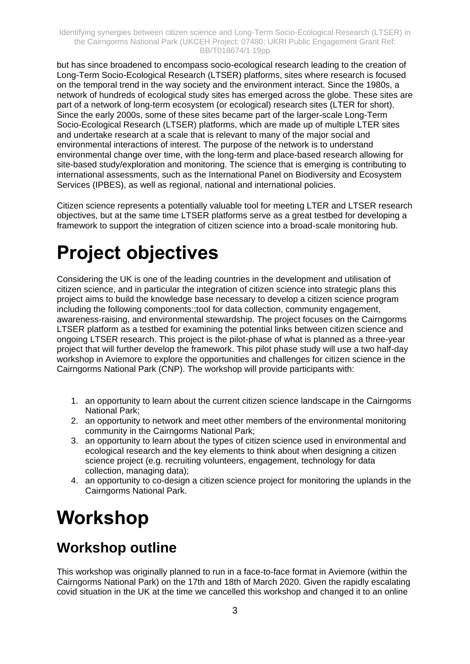but has since broadened to encompass socio-ecological research leading to the creation of Long-Term Socio-Ecological Research (LTSER) platforms, sites where research is focused on the temporal trend in the way society and the environment interact. Since the 1980s, a network of hundreds of ecological study sites has emerged across the globe. These sites are part of a network of long-term ecosystem (or ecological) research sites (LTER for short). Since the early 2000s, some of these sites became part of the larger-scale Long-Term Socio-Ecological Research (LTSER) platforms, which are made up of multiple LTER sites and undertake research at a scale that is relevant to many of the major social and environmental interactions of interest. The purpose of the network is to understand environmental change over time, with the long-term and place-based research allowing for site-based study/exploration and monitoring. The science that is emerging is contributing to international assessments, such as the International Panel on Biodiversity and Ecosystem Services (IPBES), as well as regional, national and international policies.

Citizen science represents a potentially valuable tool for meeting LTER and LTSER research objectives, but at the same time LTSER platforms serve as a great testbed for developing a framework to support the integration of citizen science into a broad-scale monitoring hub.

# <span id="page-4-0"></span>**Project objectives**

Considering the UK is one of the leading countries in the development and utilisation of citizen science, and in particular the integration of citizen science into strategic plans this project aims to build the knowledge base necessary to develop a citizen science program including the following components:;tool for data collection, community engagement, awareness-raising, and environmental stewardship. The project focuses on the Cairngorms LTSER platform as a testbed for examining the potential links between citizen science and ongoing LTSER research. This project is the pilot-phase of what is planned as a three-year project that will further develop the framework. This pilot phase study will use a two half-day workshop in Aviemore to explore the opportunities and challenges for citizen science in the Cairngorms National Park (CNP). The workshop will provide participants with:

- 1. an opportunity to learn about the current citizen science landscape in the Cairngorms National Park;
- 2. an opportunity to network and meet other members of the environmental monitoring community in the Cairngorms National Park;
- 3. an opportunity to learn about the types of citizen science used in environmental and ecological research and the key elements to think about when designing a citizen science project (e.g. recruiting volunteers, engagement, technology for data collection, managing data);
- 4. an opportunity to co-design a citizen science project for monitoring the uplands in the Cairngorms National Park.

## <span id="page-4-1"></span>**Workshop**

### <span id="page-4-2"></span>**Workshop outline**

This workshop was originally planned to run in a face-to-face format in Aviemore (within the Cairngorms National Park) on the 17th and 18th of March 2020. Given the rapidly escalating covid situation in the UK at the time we cancelled this workshop and changed it to an online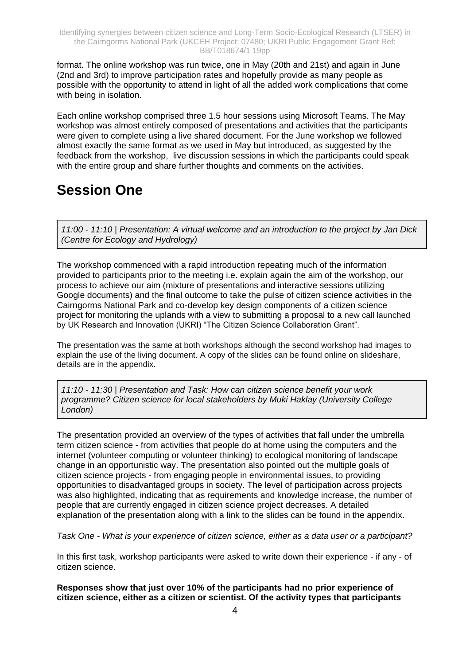format. The online workshop was run twice, one in May (20th and 21st) and again in June (2nd and 3rd) to improve participation rates and hopefully provide as many people as possible with the opportunity to attend in light of all the added work complications that come with being in isolation.

Each online workshop comprised three 1.5 hour sessions using Microsoft Teams. The May workshop was almost entirely composed of presentations and activities that the participants were given to complete using a live shared document. For the June workshop we followed almost exactly the same format as we used in May but introduced, as suggested by the feedback from the workshop, live discussion sessions in which the participants could speak with the entire group and share further thoughts and comments on the activities.

### <span id="page-5-0"></span>**Session One**

*11:00 - 11:10 | Presentation: A virtual welcome and an introduction to the project by Jan Dick (Centre for Ecology and Hydrology)*

The workshop commenced with a rapid introduction repeating much of the information provided to participants prior to the meeting i.e. explain again the aim of the workshop, our process to achieve our aim (mixture of presentations and interactive sessions utilizing Google documents) and the final outcome to take the pulse of citizen science activities in the Cairngorms National Park and co-develop key design components of a citizen science project for monitoring the uplands with a view to submitting a proposal to a new call launched by UK Research and Innovation (UKRI) "The Citizen Science Collaboration Grant".

The presentation was the same at both workshops although the second workshop had images to explain the use of the living document. A copy of the slides can be found online on slideshare, details are in the appendix.

*11:10 - 11:30 | Presentation and Task: How can citizen science benefit your work programme? Citizen science for local stakeholders by Muki Haklay (University College London)*

The presentation provided an overview of the types of activities that fall under the umbrella term citizen science - from activities that people do at home using the computers and the internet (volunteer computing or volunteer thinking) to ecological monitoring of landscape change in an opportunistic way. The presentation also pointed out the multiple goals of citizen science projects - from engaging people in environmental issues, to providing opportunities to disadvantaged groups in society. The level of participation across projects was also highlighted, indicating that as requirements and knowledge increase, the number of people that are currently engaged in citizen science project decreases. A detailed explanation of the presentation along with a link to the slides can be found in the appendix.

*Task One - What is your experience of citizen science, either as a data user or a participant?*

In this first task, workshop participants were asked to write down their experience - if any - of citizen science.

**Responses show that just over 10% of the participants had no prior experience of citizen science, either as a citizen or scientist. Of the activity types that participants**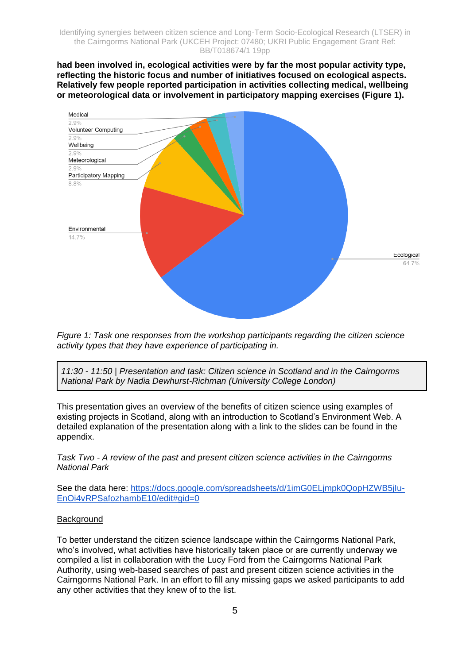**had been involved in, ecological activities were by far the most popular activity type, reflecting the historic focus and number of initiatives focused on ecological aspects. Relatively few people reported participation in activities collecting medical, wellbeing or meteorological data or involvement in participatory mapping exercises (Figure 1).**



*Figure 1: Task one responses from the workshop participants regarding the citizen science activity types that they have experience of participating in.*

*11:30 - 11:50 | Presentation and task: Citizen science in Scotland and in the Cairngorms National Park by Nadia Dewhurst-Richman (University College London)*

This presentation gives an overview of the benefits of citizen science using examples of existing projects in Scotland, along with an introduction to Scotland's Environment Web. A detailed explanation of the presentation along with a link to the slides can be found in the appendix.

*Task Two - A review of the past and present citizen science activities in the Cairngorms National Park*

See the data here: [https://docs.google.com/spreadsheets/d/1imG0ELjmpk0QopHZWB5jIu-](https://docs.google.com/spreadsheets/d/1imG0ELjmpk0QopHZWB5jIu-EnOi4vRPSafozhambE10/edit#gid=0)[EnOi4vRPSafozhambE10/edit#gid=0](https://docs.google.com/spreadsheets/d/1imG0ELjmpk0QopHZWB5jIu-EnOi4vRPSafozhambE10/edit#gid=0)

#### **Background**

To better understand the citizen science landscape within the Cairngorms National Park, who's involved, what activities have historically taken place or are currently underway we compiled a list in collaboration with the Lucy Ford from the Cairngorms National Park Authority, using web-based searches of past and present citizen science activities in the Cairngorms National Park. In an effort to fill any missing gaps we asked participants to add any other activities that they knew of to the list.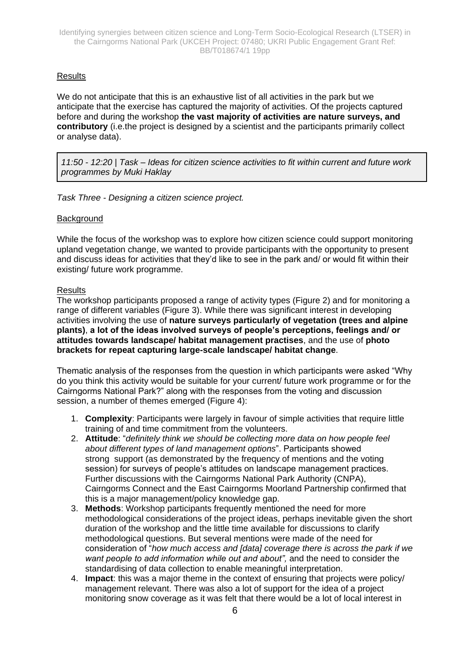#### **Results**

We do not anticipate that this is an exhaustive list of all activities in the park but we anticipate that the exercise has captured the majority of activities. Of the projects captured before and during the workshop **the vast majority of activities are nature surveys, and contributory** (i.e.the project is designed by a scientist and the participants primarily collect or analyse data).

*11:50 - 12:20 | Task – Ideas for citizen science activities to fit within current and future work programmes by Muki Haklay*

*Task Three - Designing a citizen science project.*

#### **Background**

While the focus of the workshop was to explore how citizen science could support monitoring upland vegetation change, we wanted to provide participants with the opportunity to present and discuss ideas for activities that they'd like to see in the park and/ or would fit within their existing/ future work programme.

#### **Results**

The workshop participants proposed a range of activity types (Figure 2) and for monitoring a range of different variables (Figure 3). While there was significant interest in developing activities involving the use of **nature surveys particularly of vegetation (trees and alpine plants)**, **a lot of the ideas involved surveys of people's perceptions, feelings and/ or attitudes towards landscape/ habitat management practises**, and the use of **photo brackets for repeat capturing large-scale landscape/ habitat change**.

Thematic analysis of the responses from the question in which participants were asked "Why do you think this activity would be suitable for your current/ future work programme or for the Cairngorms National Park?" along with the responses from the voting and discussion session, a number of themes emerged (Figure 4):

- 1. **Complexity**: Participants were largely in favour of simple activities that require little training of and time commitment from the volunteers.
- 2. **Attitude**: "*definitely think we should be collecting more data on how people feel about different types of land management options*". Participants showed strong support (as demonstrated by the frequency of mentions and the voting session) for surveys of people's attitudes on landscape management practices. Further discussions with the Cairngorms National Park Authority (CNPA), Cairngorms Connect and the East Cairngorms Moorland Partnership confirmed that this is a major management/policy knowledge gap.
- 3. **Methods**: Workshop participants frequently mentioned the need for more methodological considerations of the project ideas, perhaps inevitable given the short duration of the workshop and the little time available for discussions to clarify methodological questions. But several mentions were made of the need for consideration of "*how much access and [data] coverage there is across the park if we want people to add information while out and about",* and the need to consider the standardising of data collection to enable meaningful interpretation.
- 4. **Impact**: this was a major theme in the context of ensuring that projects were policy/ management relevant. There was also a lot of support for the idea of a project monitoring snow coverage as it was felt that there would be a lot of local interest in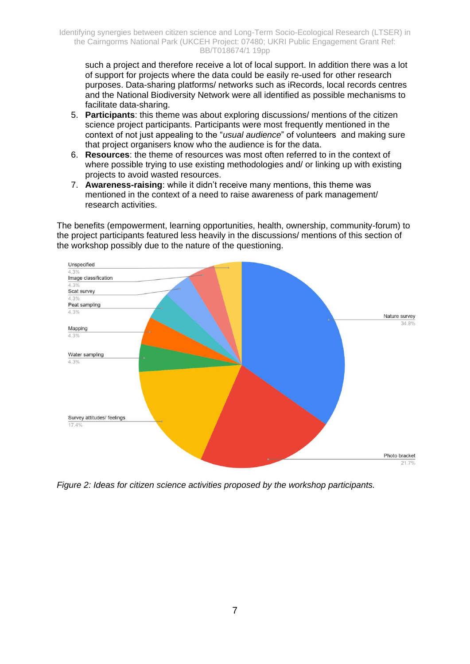such a project and therefore receive a lot of local support. In addition there was a lot of support for projects where the data could be easily re-used for other research purposes. Data-sharing platforms/ networks such as iRecords, local records centres and the National Biodiversity Network were all identified as possible mechanisms to facilitate data-sharing.

- 5. **Participants**: this theme was about exploring discussions/ mentions of the citizen science project participants. Participants were most frequently mentioned in the context of not just appealing to the "*usual audience*" of volunteers and making sure that project organisers know who the audience is for the data.
- 6. **Resources**: the theme of resources was most often referred to in the context of where possible trying to use existing methodologies and/ or linking up with existing projects to avoid wasted resources.
- 7. **Awareness-raising**: while it didn't receive many mentions, this theme was mentioned in the context of a need to raise awareness of park management/ research activities.

The benefits (empowerment, learning opportunities, health, ownership, community-forum) to the project participants featured less heavily in the discussions/ mentions of this section of the workshop possibly due to the nature of the questioning.



*Figure 2: Ideas for citizen science activities proposed by the workshop participants.*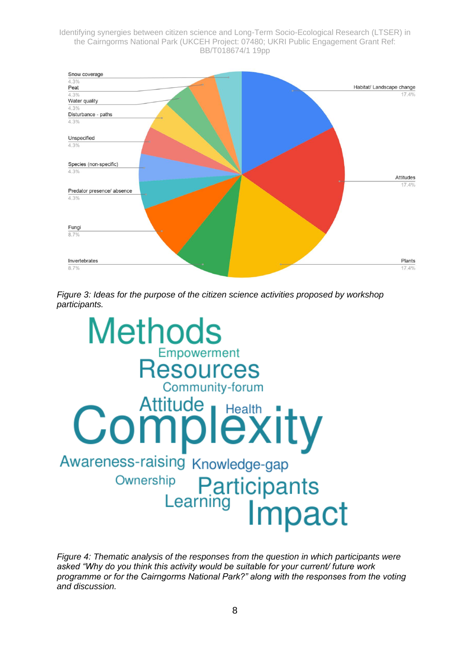

*Figure 3: Ideas for the purpose of the citizen science activities proposed by workshop participants.*



*Figure 4: Thematic analysis of the responses from the question in which participants were asked "Why do you think this activity would be suitable for your current/ future work programme or for the Cairngorms National Park?" along with the responses from the voting and discussion.*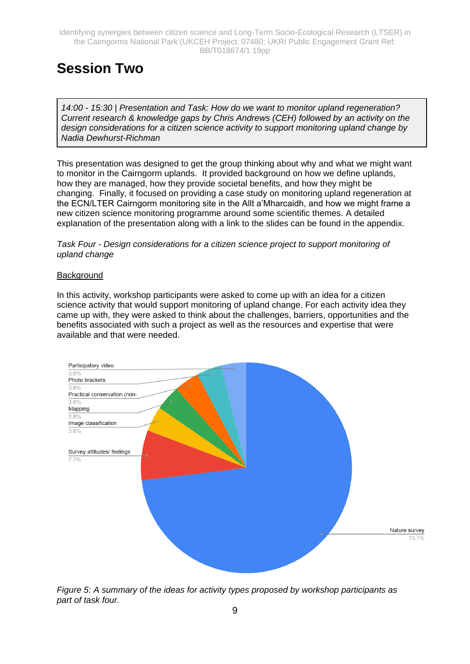### <span id="page-10-0"></span>**Session Two**

*14:00 - 15:30 | Presentation and Task: How do we want to monitor upland regeneration? Current research & knowledge gaps by Chris Andrews (CEH) followed by an activity on the design considerations for a citizen science activity to support monitoring upland change by Nadia Dewhurst-Richman*

This presentation was designed to get the group thinking about why and what we might want to monitor in the Cairngorm uplands. It provided background on how we define uplands, how they are managed, how they provide societal benefits, and how they might be changing. Finally, it focused on providing a case study on monitoring upland regeneration at the ECN/LTER Cairngorm monitoring site in the Allt a'Mharcaidh, and how we might frame a new citizen science monitoring programme around some scientific themes. A detailed explanation of the presentation along with a link to the slides can be found in the appendix.

*Task Four - Design considerations for a citizen science project to support monitoring of upland change*

#### **Background**

In this activity, workshop participants were asked to come up with an idea for a citizen science activity that would support monitoring of upland change. For each activity idea they came up with, they were asked to think about the challenges, barriers, opportunities and the benefits associated with such a project as well as the resources and expertise that were available and that were needed.



*Figure 5: A summary of the ideas for activity types proposed by workshop participants as part of task four.*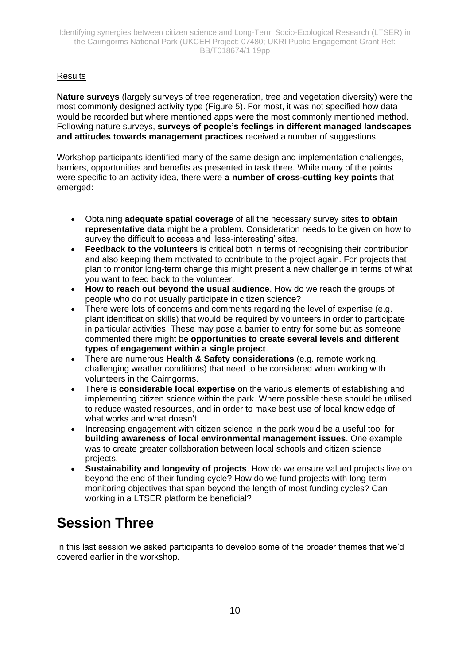#### **Results**

**Nature surveys** (largely surveys of tree regeneration, tree and vegetation diversity) were the most commonly designed activity type (Figure 5). For most, it was not specified how data would be recorded but where mentioned apps were the most commonly mentioned method. Following nature surveys, **surveys of people's feelings in different managed landscapes and attitudes towards management practices** received a number of suggestions.

Workshop participants identified many of the same design and implementation challenges, barriers, opportunities and benefits as presented in task three. While many of the points were specific to an activity idea, there were **a number of cross-cutting key points** that emerged:

- Obtaining **adequate spatial coverage** of all the necessary survey sites **to obtain representative data** might be a problem. Consideration needs to be given on how to survey the difficult to access and 'less-interesting' sites.
- **Feedback to the volunteers** is critical both in terms of recognising their contribution and also keeping them motivated to contribute to the project again. For projects that plan to monitor long-term change this might present a new challenge in terms of what you want to feed back to the volunteer.
- **How to reach out beyond the usual audience**. How do we reach the groups of people who do not usually participate in citizen science?
- There were lots of concerns and comments regarding the level of expertise (e.g. plant identification skills) that would be required by volunteers in order to participate in particular activities. These may pose a barrier to entry for some but as someone commented there might be **opportunities to create several levels and different types of engagement within a single project**.
- There are numerous **Health & Safety considerations** (e.g. remote working, challenging weather conditions) that need to be considered when working with volunteers in the Cairngorms.
- There is **considerable local expertise** on the various elements of establishing and implementing citizen science within the park. Where possible these should be utilised to reduce wasted resources, and in order to make best use of local knowledge of what works and what doesn't.
- Increasing engagement with citizen science in the park would be a useful tool for **building awareness of local environmental management issues**. One example was to create greater collaboration between local schools and citizen science projects.
- **Sustainability and longevity of projects**. How do we ensure valued projects live on beyond the end of their funding cycle? How do we fund projects with long-term monitoring objectives that span beyond the length of most funding cycles? Can working in a LTSER platform be beneficial?

### <span id="page-11-0"></span>**Session Three**

In this last session we asked participants to develop some of the broader themes that we'd covered earlier in the workshop.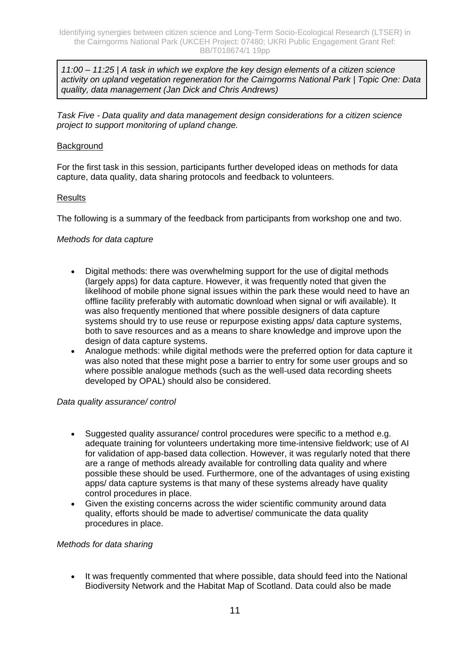*11:00 – 11:25 | A task in which we explore the key design elements of a citizen science activity on upland vegetation regeneration for the Cairngorms National Park | Topic One: Data quality, data management (Jan Dick and Chris Andrews)*

*Task Five - Data quality and data management design considerations for a citizen science project to support monitoring of upland change.*

#### **Background**

For the first task in this session, participants further developed ideas on methods for data capture, data quality, data sharing protocols and feedback to volunteers.

#### **Results**

The following is a summary of the feedback from participants from workshop one and two.

#### *Methods for data capture*

- Digital methods: there was overwhelming support for the use of digital methods (largely apps) for data capture. However, it was frequently noted that given the likelihood of mobile phone signal issues within the park these would need to have an offline facility preferably with automatic download when signal or wifi available). It was also frequently mentioned that where possible designers of data capture systems should try to use reuse or repurpose existing apps/ data capture systems, both to save resources and as a means to share knowledge and improve upon the design of data capture systems.
- Analogue methods: while digital methods were the preferred option for data capture it was also noted that these might pose a barrier to entry for some user groups and so where possible analogue methods (such as the well-used data recording sheets developed by OPAL) should also be considered.

#### *Data quality assurance/ control*

- Suggested quality assurance/ control procedures were specific to a method e.g. adequate training for volunteers undertaking more time-intensive fieldwork; use of AI for validation of app-based data collection. However, it was regularly noted that there are a range of methods already available for controlling data quality and where possible these should be used. Furthermore, one of the advantages of using existing apps/ data capture systems is that many of these systems already have quality control procedures in place.
- Given the existing concerns across the wider scientific community around data quality, efforts should be made to advertise/ communicate the data quality procedures in place.

#### *Methods for data sharing*

• It was frequently commented that where possible, data should feed into the National Biodiversity Network and the Habitat Map of Scotland. Data could also be made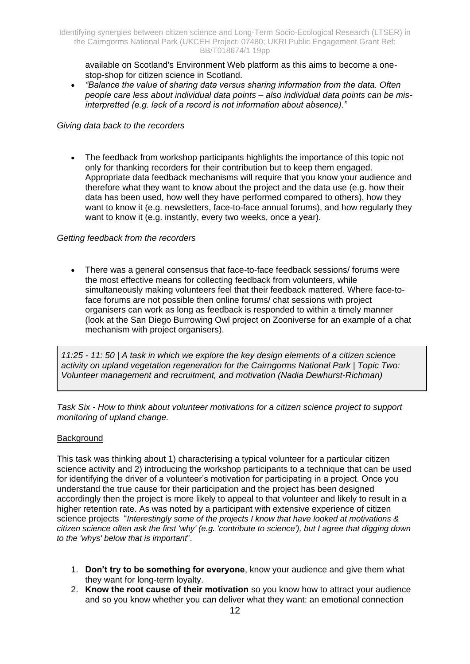available on Scotland's Environment Web platform as this aims to become a onestop-shop for citizen science in Scotland.

• *"Balance the value of sharing data versus sharing information from the data. Often people care less about individual data points – also individual data points can be misinterpretted (e.g. lack of a record is not information about absence)."*

#### *Giving data back to the recorders*

• The feedback from workshop participants highlights the importance of this topic not only for thanking recorders for their contribution but to keep them engaged. Appropriate data feedback mechanisms will require that you know your audience and therefore what they want to know about the project and the data use (e.g. how their data has been used, how well they have performed compared to others), how they want to know it (e.g. newsletters, face-to-face annual forums), and how regularly they want to know it (e.g. instantly, every two weeks, once a year).

#### *Getting feedback from the recorders*

• There was a general consensus that face-to-face feedback sessions/ forums were the most effective means for collecting feedback from volunteers, while simultaneously making volunteers feel that their feedback mattered. Where face-toface forums are not possible then online forums/ chat sessions with project organisers can work as long as feedback is responded to within a timely manner (look at the San Diego Burrowing Owl project on Zooniverse for an example of a chat mechanism with project organisers).

*11:25 - 11: 50 | A task in which we explore the key design elements of a citizen science activity on upland vegetation regeneration for the Cairngorms National Park | Topic Two: Volunteer management and recruitment, and motivation (Nadia Dewhurst-Richman)*

*Task Six - How to think about volunteer motivations for a citizen science project to support monitoring of upland change.*

#### Background

This task was thinking about 1) characterising a typical volunteer for a particular citizen science activity and 2) introducing the workshop participants to a technique that can be used for identifying the driver of a volunteer's motivation for participating in a project. Once you understand the true cause for their participation and the project has been designed accordingly then the project is more likely to appeal to that volunteer and likely to result in a higher retention rate. As was noted by a participant with extensive experience of citizen science projects "*Interestingly some of the projects I know that have looked at motivations & citizen science often ask the first 'why' (e.g. 'contribute to science'), but I agree that digging down to the 'whys' below that is important*".

- 1. **Don't try to be something for everyone**, know your audience and give them what they want for long-term loyalty.
- 2. **Know the root cause of their motivation** so you know how to attract your audience and so you know whether you can deliver what they want: an emotional connection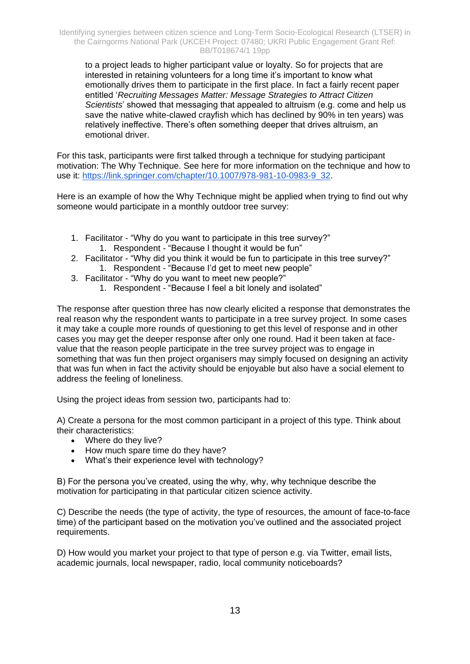to a project leads to [higher participant value](https://hbr.org/2016/08/an-emotional-connection-matters-more-than-customer-satisfaction) or [loyalty.](https://blog.bynder.com/en/knowledge/our-blog/the-worlds-most-valuable-brand-apples-secret-to-success) So for projects that are interested in retaining volunteers for a long time it's important to know what emotionally drives them to participate in the first place. In fact a fairly recent paper entitled '*Recruiting Messages Matter: Message Strategies to Attract Citizen Scientists*' showed that messaging that appealed to altruism (e.g. come and help us save the native white-clawed crayfish which has declined by 90% in ten years) was relatively ineffective. There's often something deeper that drives altruism, an emotional driver.

For this task, participants were first talked through a technique for studying participant motivation: The Why Technique. See here for more information on the technique and how to use it: [https://link.springer.com/chapter/10.1007/978-981-10-0983-9\\_32.](https://link.springer.com/chapter/10.1007/978-981-10-0983-9_32)

Here is an example of how the Why Technique might be applied when trying to find out why someone would participate in a monthly outdoor tree survey:

- 1. Facilitator "Why do you want to participate in this tree survey?" 1. Respondent - "Because I thought it would be fun"
- 2. Facilitator "Why did you think it would be fun to participate in this tree survey?" 1. Respondent - "Because I'd get to meet new people"
- 3. Facilitator "Why do you want to meet new people?"
	- 1. Respondent "Because I feel a bit lonely and isolated"

The response after question three has now clearly elicited a response that demonstrates the real reason why the respondent wants to participate in a tree survey project. In some cases it may take a couple more rounds of questioning to get this level of response and in other cases you may get the deeper response after only one round. Had it been taken at facevalue that the reason people participate in the tree survey project was to engage in something that was fun then project organisers may simply focused on designing an activity that was fun when in fact the activity should be enjoyable but also have a social element to address the feeling of loneliness.

Using the project ideas from session two, participants had to:

A) Create a persona for the most common participant in a project of this type. Think about their characteristics:

- Where do they live?
- How much spare time do they have?
- What's their experience level with technology?

B) For the persona you've created, using the why, why, why technique describe the motivation for participating in that particular citizen science activity.

C) Describe the needs (the type of activity, the type of resources, the amount of face-to-face time) of the participant based on the motivation you've outlined and the associated project requirements.

D) How would you market your project to that type of person e.g. via Twitter, email lists, academic journals, local newspaper, radio, local community noticeboards?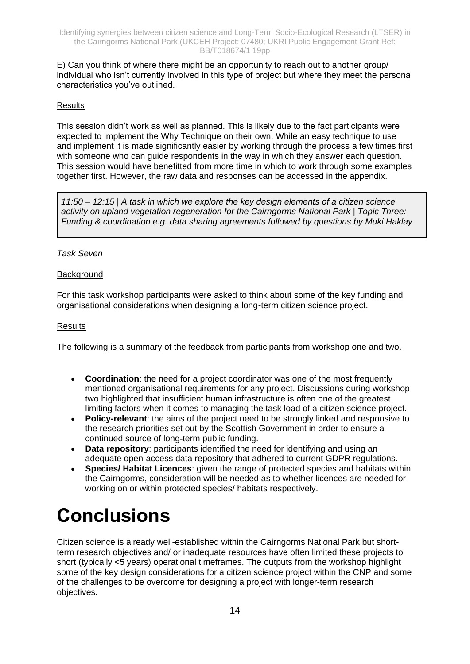E) Can you think of where there might be an opportunity to reach out to another group/ individual who isn't currently involved in this type of project but where they meet the persona characteristics you've outlined.

#### **Results**

This session didn't work as well as planned. This is likely due to the fact participants were expected to implement the Why Technique on their own. While an easy technique to use and implement it is made significantly easier by working through the process a few times first with someone who can guide respondents in the way in which they answer each question. This session would have benefitted from more time in which to work through some examples together first. However, the raw data and responses can be accessed in the appendix.

*11:50 – 12:15 | A task in which we explore the key design elements of a citizen science activity on upland vegetation regeneration for the Cairngorms National Park | Topic Three: Funding & coordination e.g. data sharing agreements followed by questions by Muki Haklay*

#### *Task Seven*

#### **Background**

For this task workshop participants were asked to think about some of the key funding and organisational considerations when designing a long-term citizen science project.

#### **Results**

The following is a summary of the feedback from participants from workshop one and two.

- **Coordination**: the need for a project coordinator was one of the most frequently mentioned organisational requirements for any project. Discussions during workshop two highlighted that insufficient human infrastructure is often one of the greatest limiting factors when it comes to managing the task load of a citizen science project.
- **Policy-relevant**: the aims of the project need to be strongly linked and responsive to the research priorities set out by the Scottish Government in order to ensure a continued source of long-term public funding.
- **Data repository:** participants identified the need for identifying and using an adequate open-access data repository that adhered to current GDPR regulations.
- **Species/ Habitat Licences**: given the range of protected species and habitats within the Cairngorms, consideration will be needed as to whether licences are needed for working on or within protected species/ habitats respectively.

## <span id="page-15-0"></span>**Conclusions**

Citizen science is already well-established within the Cairngorms National Park but shortterm research objectives and/ or inadequate resources have often limited these projects to short (typically <5 years) operational timeframes. The outputs from the workshop highlight some of the key design considerations for a citizen science project within the CNP and some of the challenges to be overcome for designing a project with longer-term research objectives.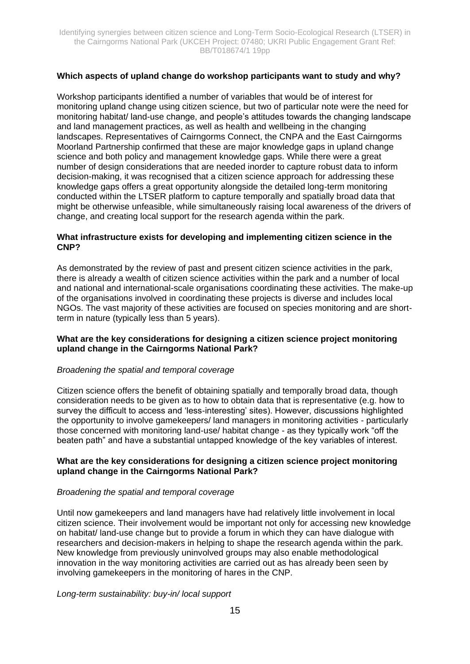#### **Which aspects of upland change do workshop participants want to study and why?**

Workshop participants identified a number of variables that would be of interest for monitoring upland change using citizen science, but two of particular note were the need for monitoring habitat/ land-use change, and people's attitudes towards the changing landscape and land management practices, as well as health and wellbeing in the changing landscapes. Representatives of Cairngorms Connect, the CNPA and the East Cairngorms Moorland Partnership confirmed that these are major knowledge gaps in upland change science and both policy and management knowledge gaps. While there were a great number of design considerations that are needed inorder to capture robust data to inform decision-making, it was recognised that a citizen science approach for addressing these knowledge gaps offers a great opportunity alongside the detailed long-term monitoring conducted within the LTSER platform to capture temporally and spatially broad data that might be otherwise unfeasible, while simultaneously raising local awareness of the drivers of change, and creating local support for the research agenda within the park.

#### **What infrastructure exists for developing and implementing citizen science in the CNP?**

As demonstrated by the review of past and present citizen science activities in the park, there is already a wealth of citizen science activities within the park and a number of local and national and international-scale organisations coordinating these activities. The make-up of the organisations involved in coordinating these projects is diverse and includes local NGOs. The vast majority of these activities are focused on species monitoring and are shortterm in nature (typically less than 5 years).

#### **What are the key considerations for designing a citizen science project monitoring upland change in the Cairngorms National Park?**

#### *Broadening the spatial and temporal coverage*

Citizen science offers the benefit of obtaining spatially and temporally broad data, though consideration needs to be given as to how to obtain data that is representative (e.g. how to survey the difficult to access and 'less-interesting' sites). However, discussions highlighted the opportunity to involve gamekeepers/ land managers in monitoring activities - particularly those concerned with monitoring land-use/ habitat change - as they typically work "off the beaten path" and have a substantial untapped knowledge of the key variables of interest.

#### **What are the key considerations for designing a citizen science project monitoring upland change in the Cairngorms National Park?**

#### *Broadening the spatial and temporal coverage*

Until now gamekeepers and land managers have had relatively little involvement in local citizen science. Their involvement would be important not only for accessing new knowledge on habitat/ land-use change but to provide a forum in which they can have dialogue with researchers and decision-makers in helping to shape the research agenda within the park. New knowledge from previously uninvolved groups may also enable methodological innovation in the way monitoring activities are carried out as has already been seen by involving gamekeepers in the monitoring of hares in the CNP.

*Long-term sustainability: buy-in/ local support*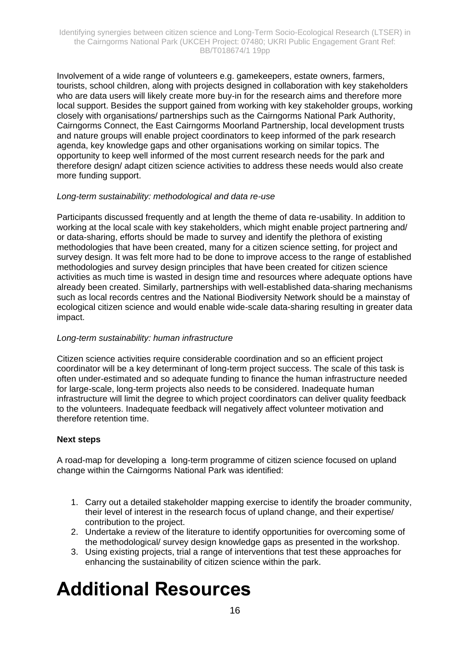Involvement of a wide range of volunteers e.g. gamekeepers, estate owners, farmers, tourists, school children, along with projects designed in collaboration with key stakeholders who are data users will likely create more buy-in for the research aims and therefore more local support. Besides the support gained from working with key stakeholder groups, working closely with organisations/ partnerships such as the Cairngorms National Park Authority, Cairngorms Connect, the East Cairngorms Moorland Partnership, local development trusts and nature groups will enable project coordinators to keep informed of the park research agenda, key knowledge gaps and other organisations working on similar topics. The opportunity to keep well informed of the most current research needs for the park and therefore design/ adapt citizen science activities to address these needs would also create more funding support.

#### *Long-term sustainability: methodological and data re-use*

Participants discussed frequently and at length the theme of data re-usability. In addition to working at the local scale with key stakeholders, which might enable project partnering and/ or data-sharing, efforts should be made to survey and identify the plethora of existing methodologies that have been created, many for a citizen science setting, for project and survey design. It was felt more had to be done to improve access to the range of established methodologies and survey design principles that have been created for citizen science activities as much time is wasted in design time and resources where adequate options have already been created. Similarly, partnerships with well-established data-sharing mechanisms such as local records centres and the National Biodiversity Network should be a mainstay of ecological citizen science and would enable wide-scale data-sharing resulting in greater data impact.

#### *Long-term sustainability: human infrastructure*

Citizen science activities require considerable coordination and so an efficient project coordinator will be a key determinant of long-term project success. The scale of this task is often under-estimated and so adequate funding to finance the human infrastructure needed for large-scale, long-term projects also needs to be considered. Inadequate human infrastructure will limit the degree to which project coordinators can deliver quality feedback to the volunteers. Inadequate feedback will negatively affect volunteer motivation and therefore retention time.

#### **Next steps**

A road-map for developing a long-term programme of citizen science focused on upland change within the Cairngorms National Park was identified:

- 1. Carry out a detailed stakeholder mapping exercise to identify the broader community, their level of interest in the research focus of upland change, and their expertise/ contribution to the project.
- 2. Undertake a review of the literature to identify opportunities for overcoming some of the methodological/ survey design knowledge gaps as presented in the workshop.
- 3. Using existing projects, trial a range of interventions that test these approaches for enhancing the sustainability of citizen science within the park.

## <span id="page-17-0"></span>**Additional Resources**